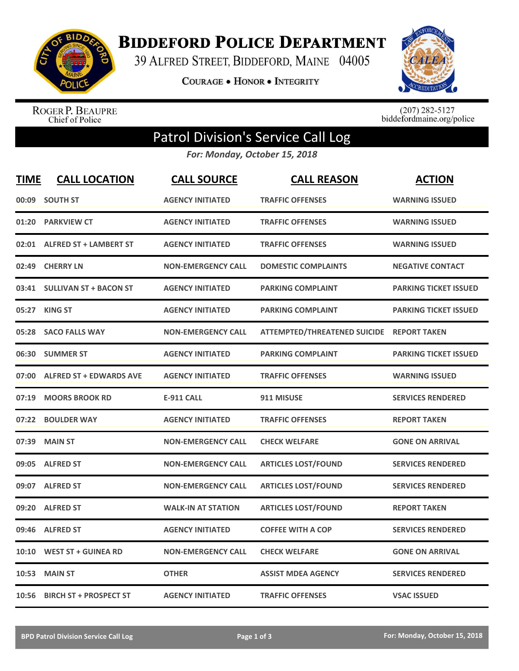

**BIDDEFORD POLICE DEPARTMENT** 

39 ALFRED STREET, BIDDEFORD, MAINE 04005

**COURAGE . HONOR . INTEGRITY** 



ROGER P. BEAUPRE<br>Chief of Police

 $(207)$  282-5127<br>biddefordmaine.org/police

## Patrol Division's Service Call Log

*For: Monday, October 15, 2018*

| <b>TIME</b> | <b>CALL LOCATION</b>           | <b>CALL SOURCE</b>        | <b>CALL REASON</b>                  | <b>ACTION</b>                |
|-------------|--------------------------------|---------------------------|-------------------------------------|------------------------------|
| 00:09       | <b>SOUTH ST</b>                | <b>AGENCY INITIATED</b>   | <b>TRAFFIC OFFENSES</b>             | <b>WARNING ISSUED</b>        |
| 01:20       | <b>PARKVIEW CT</b>             | <b>AGENCY INITIATED</b>   | <b>TRAFFIC OFFENSES</b>             | <b>WARNING ISSUED</b>        |
|             | 02:01 ALFRED ST + LAMBERT ST   | <b>AGENCY INITIATED</b>   | <b>TRAFFIC OFFENSES</b>             | <b>WARNING ISSUED</b>        |
| 02:49       | <b>CHERRY LN</b>               | <b>NON-EMERGENCY CALL</b> | <b>DOMESTIC COMPLAINTS</b>          | <b>NEGATIVE CONTACT</b>      |
| 03:41       | <b>SULLIVAN ST + BACON ST</b>  | <b>AGENCY INITIATED</b>   | <b>PARKING COMPLAINT</b>            | <b>PARKING TICKET ISSUED</b> |
| 05:27       | <b>KING ST</b>                 | <b>AGENCY INITIATED</b>   | <b>PARKING COMPLAINT</b>            | <b>PARKING TICKET ISSUED</b> |
| 05:28       | <b>SACO FALLS WAY</b>          | <b>NON-EMERGENCY CALL</b> | <b>ATTEMPTED/THREATENED SUICIDE</b> | <b>REPORT TAKEN</b>          |
| 06:30       | <b>SUMMER ST</b>               | <b>AGENCY INITIATED</b>   | <b>PARKING COMPLAINT</b>            | <b>PARKING TICKET ISSUED</b> |
| 07:00       | <b>ALFRED ST + EDWARDS AVE</b> | <b>AGENCY INITIATED</b>   | <b>TRAFFIC OFFENSES</b>             | <b>WARNING ISSUED</b>        |
| 07:19       | <b>MOORS BROOK RD</b>          | <b>E-911 CALL</b>         | 911 MISUSE                          | <b>SERVICES RENDERED</b>     |
| 07:22       | <b>BOULDER WAY</b>             | <b>AGENCY INITIATED</b>   | <b>TRAFFIC OFFENSES</b>             | <b>REPORT TAKEN</b>          |
| 07:39       | <b>MAIN ST</b>                 | <b>NON-EMERGENCY CALL</b> | <b>CHECK WELFARE</b>                | <b>GONE ON ARRIVAL</b>       |
| 09:05       | <b>ALFRED ST</b>               | <b>NON-EMERGENCY CALL</b> | <b>ARTICLES LOST/FOUND</b>          | <b>SERVICES RENDERED</b>     |
| 09:07       | <b>ALFRED ST</b>               | <b>NON-EMERGENCY CALL</b> | <b>ARTICLES LOST/FOUND</b>          | <b>SERVICES RENDERED</b>     |
| 09:20       | <b>ALFRED ST</b>               | <b>WALK-IN AT STATION</b> | <b>ARTICLES LOST/FOUND</b>          | <b>REPORT TAKEN</b>          |
|             | 09:46 ALFRED ST                | <b>AGENCY INITIATED</b>   | <b>COFFEE WITH A COP</b>            | <b>SERVICES RENDERED</b>     |
| 10:10       | <b>WEST ST + GUINEA RD</b>     | <b>NON-EMERGENCY CALL</b> | <b>CHECK WELFARE</b>                | <b>GONE ON ARRIVAL</b>       |
| 10:53       | <b>MAIN ST</b>                 | <b>OTHER</b>              | <b>ASSIST MDEA AGENCY</b>           | <b>SERVICES RENDERED</b>     |
|             | 10:56 BIRCH ST + PROSPECT ST   | <b>AGENCY INITIATED</b>   | <b>TRAFFIC OFFENSES</b>             | <b>VSAC ISSUED</b>           |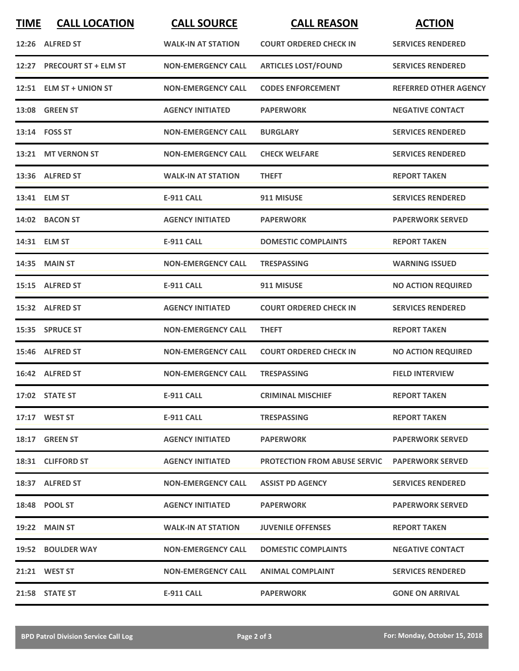| <b>TIME</b> | <b>CALL LOCATION</b>       | <b>CALL SOURCE</b>        | <b>CALL REASON</b>                  | <b>ACTION</b>                |
|-------------|----------------------------|---------------------------|-------------------------------------|------------------------------|
|             | 12:26 ALFRED ST            | <b>WALK-IN AT STATION</b> | <b>COURT ORDERED CHECK IN</b>       | <b>SERVICES RENDERED</b>     |
|             | 12:27 PRECOURT ST + ELM ST | <b>NON-EMERGENCY CALL</b> | <b>ARTICLES LOST/FOUND</b>          | <b>SERVICES RENDERED</b>     |
|             | 12:51 ELM ST + UNION ST    | <b>NON-EMERGENCY CALL</b> | <b>CODES ENFORCEMENT</b>            | <b>REFERRED OTHER AGENCY</b> |
|             | <b>13:08 GREEN ST</b>      | <b>AGENCY INITIATED</b>   | <b>PAPERWORK</b>                    | <b>NEGATIVE CONTACT</b>      |
|             | 13:14 FOSS ST              | <b>NON-EMERGENCY CALL</b> | <b>BURGLARY</b>                     | <b>SERVICES RENDERED</b>     |
|             | 13:21 MT VERNON ST         | <b>NON-EMERGENCY CALL</b> | <b>CHECK WELFARE</b>                | <b>SERVICES RENDERED</b>     |
|             | 13:36 ALFRED ST            | <b>WALK-IN AT STATION</b> | <b>THEFT</b>                        | <b>REPORT TAKEN</b>          |
|             | 13:41 ELM ST               | <b>E-911 CALL</b>         | 911 MISUSE                          | <b>SERVICES RENDERED</b>     |
|             | 14:02 BACON ST             | <b>AGENCY INITIATED</b>   | <b>PAPERWORK</b>                    | <b>PAPERWORK SERVED</b>      |
|             | 14:31 ELM ST               | E-911 CALL                | <b>DOMESTIC COMPLAINTS</b>          | <b>REPORT TAKEN</b>          |
|             | 14:35 MAIN ST              | <b>NON-EMERGENCY CALL</b> | <b>TRESPASSING</b>                  | <b>WARNING ISSUED</b>        |
|             | 15:15 ALFRED ST            | <b>E-911 CALL</b>         | 911 MISUSE                          | <b>NO ACTION REQUIRED</b>    |
|             | 15:32 ALFRED ST            | <b>AGENCY INITIATED</b>   | <b>COURT ORDERED CHECK IN</b>       | <b>SERVICES RENDERED</b>     |
|             | 15:35 SPRUCE ST            | <b>NON-EMERGENCY CALL</b> | <b>THEFT</b>                        | <b>REPORT TAKEN</b>          |
|             | 15:46 ALFRED ST            | <b>NON-EMERGENCY CALL</b> | <b>COURT ORDERED CHECK IN</b>       | <b>NO ACTION REQUIRED</b>    |
|             | 16:42 ALFRED ST            | <b>NON-EMERGENCY CALL</b> | <b>TRESPASSING</b>                  | <b>FIELD INTERVIEW</b>       |
|             | 17:02 STATE ST             | <b>E-911 CALL</b>         | <b>CRIMINAL MISCHIEF</b>            | <b>REPORT TAKEN</b>          |
|             | 17:17 WEST ST              | <b>E-911 CALL</b>         | <b>TRESPASSING</b>                  | <b>REPORT TAKEN</b>          |
|             | 18:17 GREEN ST             | <b>AGENCY INITIATED</b>   | <b>PAPERWORK</b>                    | <b>PAPERWORK SERVED</b>      |
|             | 18:31 CLIFFORD ST          | <b>AGENCY INITIATED</b>   | <b>PROTECTION FROM ABUSE SERVIC</b> | <b>PAPERWORK SERVED</b>      |
|             | 18:37 ALFRED ST            | <b>NON-EMERGENCY CALL</b> | <b>ASSIST PD AGENCY</b>             | <b>SERVICES RENDERED</b>     |
|             | 18:48 POOL ST              | <b>AGENCY INITIATED</b>   | <b>PAPERWORK</b>                    | <b>PAPERWORK SERVED</b>      |
|             | <b>19:22 MAIN ST</b>       | <b>WALK-IN AT STATION</b> | <b>JUVENILE OFFENSES</b>            | <b>REPORT TAKEN</b>          |
|             | 19:52 BOULDER WAY          | <b>NON-EMERGENCY CALL</b> | <b>DOMESTIC COMPLAINTS</b>          | <b>NEGATIVE CONTACT</b>      |
|             | 21:21 WEST ST              | <b>NON-EMERGENCY CALL</b> | <b>ANIMAL COMPLAINT</b>             | <b>SERVICES RENDERED</b>     |
|             | 21:58 STATE ST             | <b>E-911 CALL</b>         | <b>PAPERWORK</b>                    | <b>GONE ON ARRIVAL</b>       |